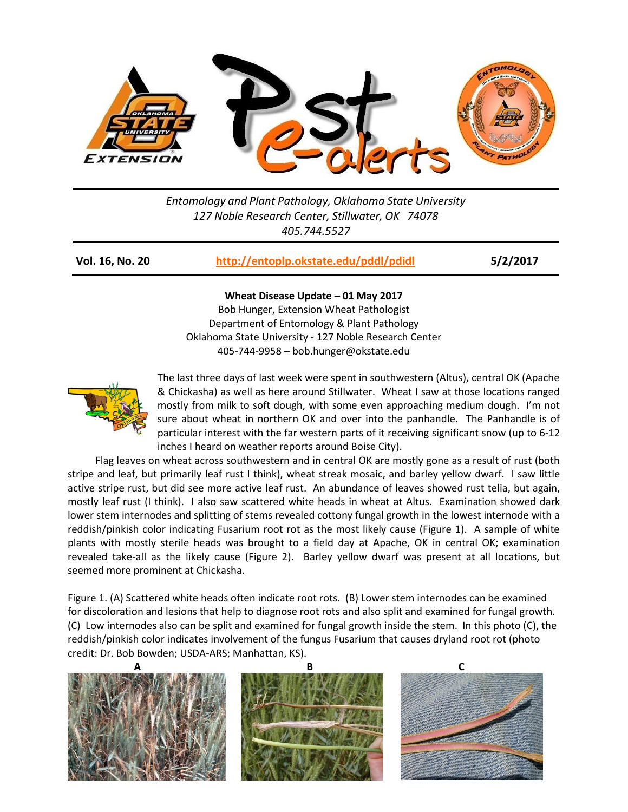

*Entomology and Plant Pathology, Oklahoma State University 127 Noble Research Center, Stillwater, OK 74078 405.744.5527*

| Vol. 16, No. 20 | http://entoplp.okstate.edu/pddl/pdidl | 5/2/2017 |
|-----------------|---------------------------------------|----------|
|-----------------|---------------------------------------|----------|

## **Wheat Disease Update – 01 May 2017**

Bob Hunger, Extension Wheat Pathologist Department of Entomology & Plant Pathology Oklahoma State University - 127 Noble Research Center 405-744-9958 – bob.hunger@okstate.edu



The last three days of last week were spent in southwestern (Altus), central OK (Apache & Chickasha) as well as here around Stillwater. Wheat I saw at those locations ranged mostly from milk to soft dough, with some even approaching medium dough. I'm not sure about wheat in northern OK and over into the panhandle. The Panhandle is of particular interest with the far western parts of it receiving significant snow (up to 6-12 inches I heard on weather reports around Boise City).

Flag leaves on wheat across southwestern and in central OK are mostly gone as a result of rust (both stripe and leaf, but primarily leaf rust I think), wheat streak mosaic, and barley yellow dwarf. I saw little active stripe rust, but did see more active leaf rust. An abundance of leaves showed rust telia, but again, mostly leaf rust (I think). I also saw scattered white heads in wheat at Altus. Examination showed dark lower stem internodes and splitting of stems revealed cottony fungal growth in the lowest internode with a reddish/pinkish color indicating Fusarium root rot as the most likely cause (Figure 1). A sample of white plants with mostly sterile heads was brought to a field day at Apache, OK in central OK; examination revealed take-all as the likely cause (Figure 2). Barley yellow dwarf was present at all locations, but seemed more prominent at Chickasha.

Figure 1. (A) Scattered white heads often indicate root rots. (B) Lower stem internodes can be examined for discoloration and lesions that help to diagnose root rots and also split and examined for fungal growth. (C) Low internodes also can be split and examined for fungal growth inside the stem. In this photo (C), the reddish/pinkish color indicates involvement of the fungus Fusarium that causes dryland root rot (photo credit: Dr. Bob Bowden; USDA-ARS; Manhattan, KS).

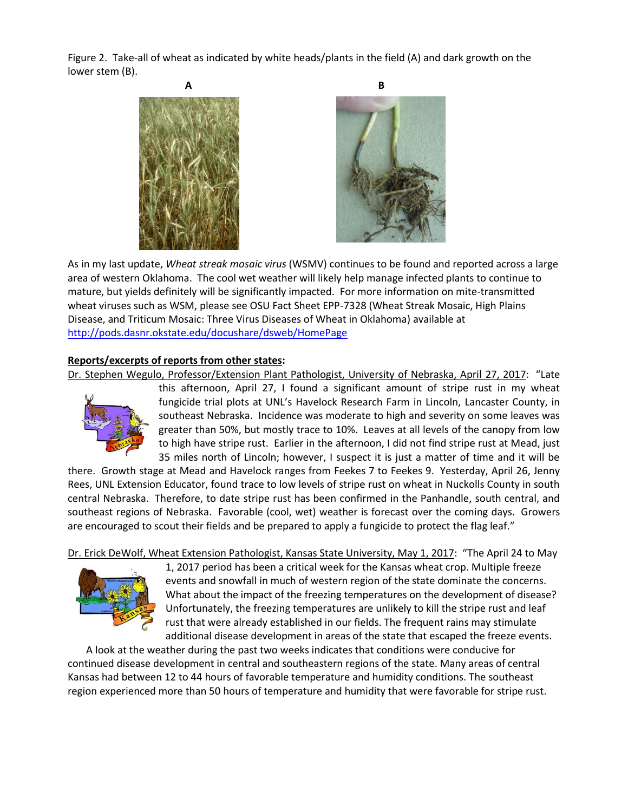Figure 2. Take-all of wheat as indicated by white heads/plants in the field (A) and dark growth on the lower stem (B).





As in my last update, *Wheat streak mosaic virus* (WSMV) continues to be found and reported across a large area of western Oklahoma. The cool wet weather will likely help manage infected plants to continue to mature, but yields definitely will be significantly impacted. For more information on mite-transmitted wheat viruses such as WSM, please see OSU Fact Sheet EPP-7328 (Wheat Streak Mosaic, High Plains Disease, and Triticum Mosaic: Three Virus Diseases of Wheat in Oklahoma) available at <http://pods.dasnr.okstate.edu/docushare/dsweb/HomePage>

## **Reports/excerpts of reports from other states:**

Dr. Stephen Wegulo, Professor/Extension Plant Pathologist, University of Nebraska, April 27, 2017: "Late



this afternoon, April 27, I found a significant amount of stripe rust in my wheat fungicide trial plots at UNL's Havelock Research Farm in Lincoln, Lancaster County, in southeast Nebraska. Incidence was moderate to high and severity on some leaves was greater than 50%, but mostly trace to 10%. Leaves at all levels of the canopy from low to high have stripe rust. Earlier in the afternoon, I did not find stripe rust at Mead, just 35 miles north of Lincoln; however, I suspect it is just a matter of time and it will be

there. Growth stage at Mead and Havelock ranges from Feekes 7 to Feekes 9. Yesterday, April 26, Jenny Rees, UNL Extension Educator, found trace to low levels of stripe rust on wheat in Nuckolls County in south central Nebraska. Therefore, to date stripe rust has been confirmed in the Panhandle, south central, and southeast regions of Nebraska. Favorable (cool, wet) weather is forecast over the coming days. Growers are encouraged to scout their fields and be prepared to apply a fungicide to protect the flag leaf."

Dr. Erick DeWolf, Wheat Extension Pathologist, Kansas State University, May 1, 2017: "The April 24 to May



1, 2017 period has been a critical week for the Kansas wheat crop. Multiple freeze events and snowfall in much of western region of the state dominate the concerns. What about the impact of the freezing temperatures on the development of disease? Unfortunately, the freezing temperatures are unlikely to kill the stripe rust and leaf rust that were already established in our fields. The frequent rains may stimulate additional disease development in areas of the state that escaped the freeze events.

A look at the weather during the past two weeks indicates that conditions were conducive for continued disease development in central and southeastern regions of the state. Many areas of central Kansas had between 12 to 44 hours of favorable temperature and humidity conditions. The southeast region experienced more than 50 hours of temperature and humidity that were favorable for stripe rust.